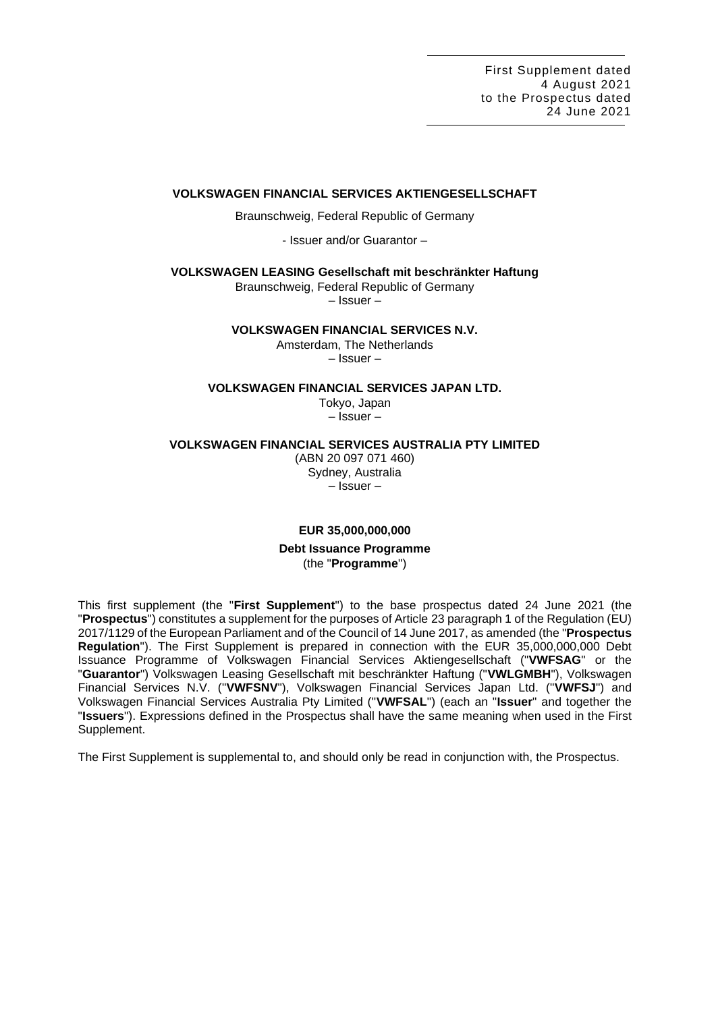## **VOLKSWAGEN FINANCIAL SERVICES AKTIENGESELLSCHAFT**

Braunschweig, Federal Republic of Germany

- Issuer and/or Guarantor –

**VOLKSWAGEN LEASING Gesellschaft mit beschränkter Haftung**

Braunschweig, Federal Republic of Germany

– Issuer –

## **VOLKSWAGEN FINANCIAL SERVICES N.V.**

Amsterdam, The Netherlands – Issuer –

## **VOLKSWAGEN FINANCIAL SERVICES JAPAN LTD.**

Tokyo, Japan – Issuer –

## **VOLKSWAGEN FINANCIAL SERVICES AUSTRALIA PTY LIMITED**

(ABN 20 097 071 460) Sydney, Australia – Issuer –

# **EUR 35,000,000,000 Debt Issuance Programme** (the "**Programme**")

This first supplement (the "**First Supplement**") to the base prospectus dated 24 June 2021 (the "**Prospectus**") constitutes a supplement for the purposes of Article 23 paragraph 1 of the Regulation (EU) 2017/1129 of the European Parliament and of the Council of 14 June 2017, as amended (the "**Prospectus Regulation**"). The First Supplement is prepared in connection with the EUR 35,000,000,000 Debt Issuance Programme of Volkswagen Financial Services Aktiengesellschaft ("**VWFSAG**" or the "**Guarantor**") Volkswagen Leasing Gesellschaft mit beschränkter Haftung ("**VWLGMBH**"), Volkswagen Financial Services N.V. ("**VWFSNV**"), Volkswagen Financial Services Japan Ltd. ("**VWFSJ**") and Volkswagen Financial Services Australia Pty Limited ("**VWFSAL**") (each an "**Issuer**" and together the "**Issuers**"). Expressions defined in the Prospectus shall have the same meaning when used in the First Supplement.

The First Supplement is supplemental to, and should only be read in conjunction with, the Prospectus.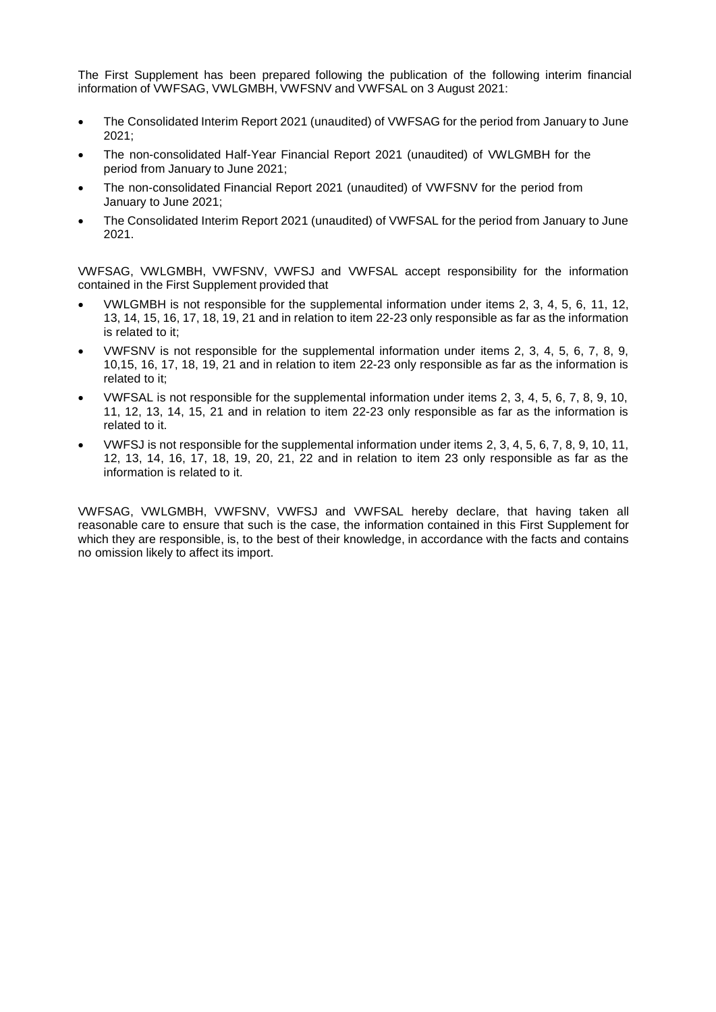The First Supplement has been prepared following the publication of the following interim financial information of VWFSAG, VWLGMBH, VWFSNV and VWFSAL on 3 August 2021:

- The Consolidated Interim Report 2021 (unaudited) of VWFSAG for the period from January to June 2021;
- The non-consolidated Half-Year Financial Report 2021 (unaudited) of VWLGMBH for the period from January to June 2021;
- The non-consolidated Financial Report 2021 (unaudited) of VWFSNV for the period from January to June 2021;
- The Consolidated Interim Report 2021 (unaudited) of VWFSAL for the period from January to June 2021.

VWFSAG, VWLGMBH, VWFSNV, VWFSJ and VWFSAL accept responsibility for the information contained in the First Supplement provided that

- VWLGMBH is not responsible for the supplemental information under items 2, 3, 4, 5, 6, 11, 12, 13, 14, 15, 16, 17, 18, 19, 21 and in relation to item 22-23 only responsible as far as the information is related to it;
- VWFSNV is not responsible for the supplemental information under items 2, 3, 4, 5, 6, 7, 8, 9, 10,15, 16, 17, 18, 19, 21 and in relation to item 22-23 only responsible as far as the information is related to it;
- VWFSAL is not responsible for the supplemental information under items 2, 3, 4, 5, 6, 7, 8, 9, 10, 11, 12, 13, 14, 15, 21 and in relation to item 22-23 only responsible as far as the information is related to it.
- VWFSJ is not responsible for the supplemental information under items 2, 3, 4, 5, 6, 7, 8, 9, 10, 11, 12, 13, 14, 16, 17, 18, 19, 20, 21, 22 and in relation to item 23 only responsible as far as the information is related to it.

VWFSAG, VWLGMBH, VWFSNV, VWFSJ and VWFSAL hereby declare, that having taken all reasonable care to ensure that such is the case, the information contained in this First Supplement for which they are responsible, is, to the best of their knowledge, in accordance with the facts and contains no omission likely to affect its import.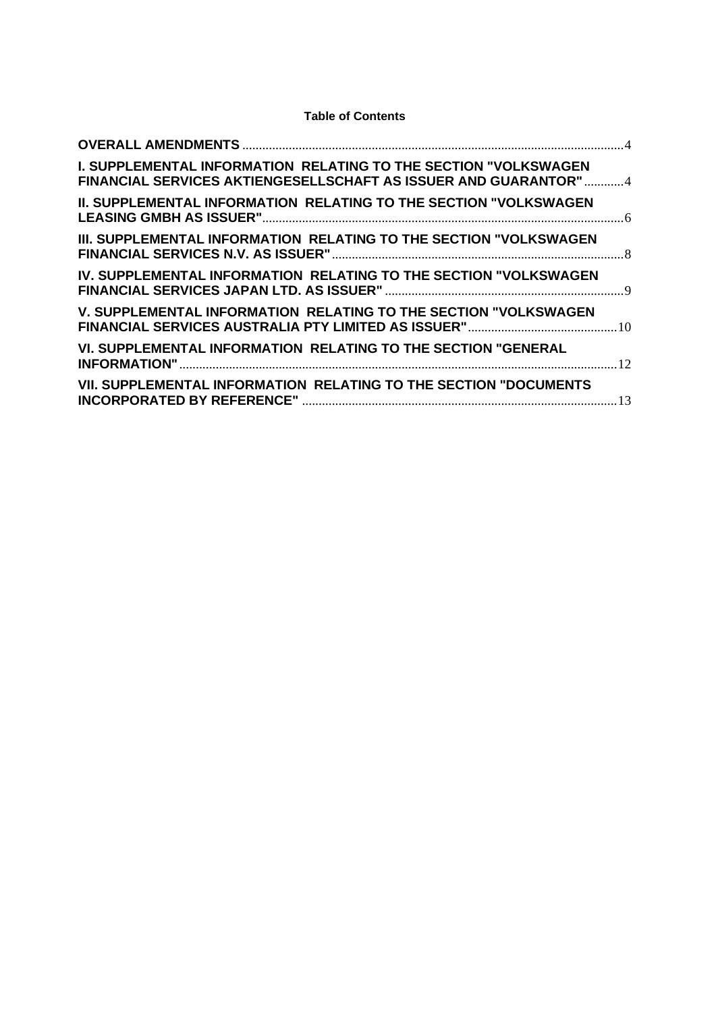# **Table of Contents**

| <b>I. SUPPLEMENTAL INFORMATION RELATING TO THE SECTION "VOLKSWAGEN</b><br>FINANCIAL SERVICES AKTIENGESELLSCHAFT AS ISSUER AND GUARANTOR"4 |  |
|-------------------------------------------------------------------------------------------------------------------------------------------|--|
| <b>II. SUPPLEMENTAL INFORMATION RELATING TO THE SECTION "VOLKSWAGEN</b>                                                                   |  |
| III. SUPPLEMENTAL INFORMATION RELATING TO THE SECTION "VOLKSWAGEN                                                                         |  |
| IV. SUPPLEMENTAL INFORMATION RELATING TO THE SECTION "VOLKSWAGEN                                                                          |  |
| V. SUPPLEMENTAL INFORMATION RELATING TO THE SECTION "VOLKSWAGEN                                                                           |  |
| VI. SUPPLEMENTAL INFORMATION RELATING TO THE SECTION "GENERAL                                                                             |  |
| VII. SUPPLEMENTAL INFORMATION RELATING TO THE SECTION "DOCUMENTS                                                                          |  |
|                                                                                                                                           |  |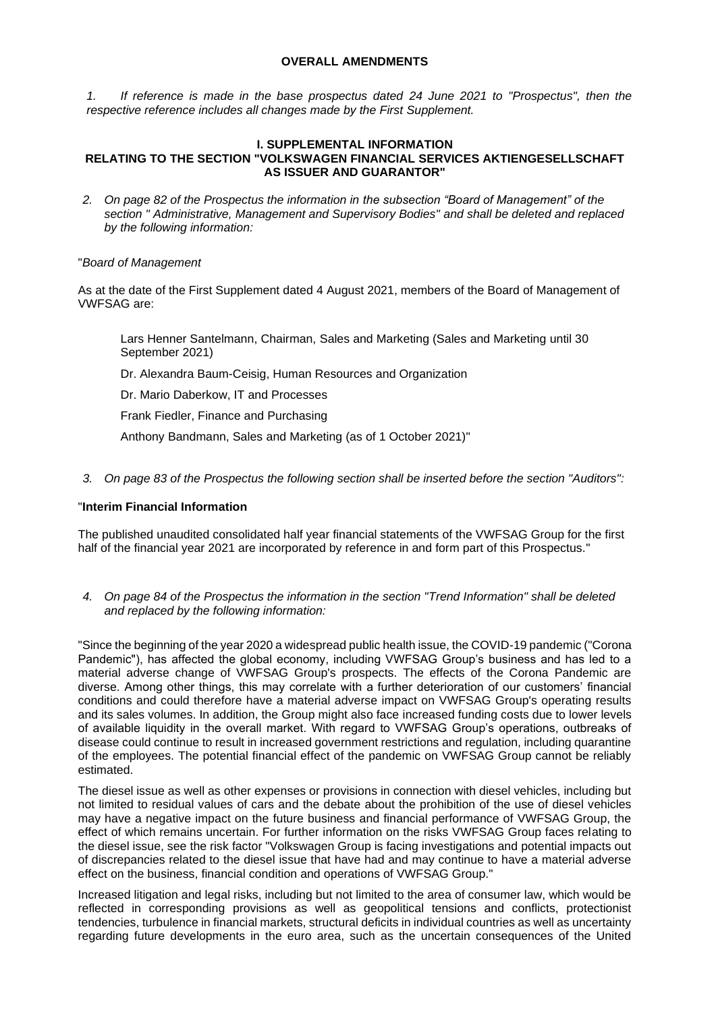## **OVERALL AMENDMENTS**

<span id="page-3-0"></span>*1. If reference is made in the base prospectus dated 24 June 2021 to "Prospectus", then the respective reference includes all changes made by the First Supplement.*

## <span id="page-3-1"></span>**I. SUPPLEMENTAL INFORMATION RELATING TO THE SECTION "VOLKSWAGEN FINANCIAL SERVICES AKTIENGESELLSCHAFT AS ISSUER AND GUARANTOR"**

*2. On page 82 of the Prospectus the information in the subsection "Board of Management" of the section " Administrative, Management and Supervisory Bodies" and shall be deleted and replaced by the following information:*

## "*Board of Management*

As at the date of the First Supplement dated 4 August 2021, members of the Board of Management of VWFSAG are:

Lars Henner Santelmann, Chairman, Sales and Marketing (Sales and Marketing until 30 September 2021)

Dr. Alexandra Baum-Ceisig, Human Resources and Organization

Dr. Mario Daberkow, IT and Processes

Frank Fiedler, Finance and Purchasing

Anthony Bandmann, Sales and Marketing (as of 1 October 2021)"

*3. On page 83 of the Prospectus the following section shall be inserted before the section "Auditors":*

## "**Interim Financial Information**

The published unaudited consolidated half year financial statements of the VWFSAG Group for the first half of the financial year 2021 are incorporated by reference in and form part of this Prospectus."

*4. On page 84 of the Prospectus the information in the section "Trend Information" shall be deleted and replaced by the following information:*

"Since the beginning of the year 2020 a widespread public health issue, the COVID-19 pandemic ("Corona Pandemic"), has affected the global economy, including VWFSAG Group's business and has led to a material adverse change of VWFSAG Group's prospects. The effects of the Corona Pandemic are diverse. Among other things, this may correlate with a further deterioration of our customers' financial conditions and could therefore have a material adverse impact on VWFSAG Group's operating results and its sales volumes. In addition, the Group might also face increased funding costs due to lower levels of available liquidity in the overall market. With regard to VWFSAG Group's operations, outbreaks of disease could continue to result in increased government restrictions and regulation, including quarantine of the employees. The potential financial effect of the pandemic on VWFSAG Group cannot be reliably estimated.

The diesel issue as well as other expenses or provisions in connection with diesel vehicles, including but not limited to residual values of cars and the debate about the prohibition of the use of diesel vehicles may have a negative impact on the future business and financial performance of VWFSAG Group, the effect of which remains uncertain. For further information on the risks VWFSAG Group faces relating to the diesel issue, see the risk factor "Volkswagen Group is facing investigations and potential impacts out of discrepancies related to the diesel issue that have had and may continue to have a material adverse effect on the business, financial condition and operations of VWFSAG Group."

Increased litigation and legal risks, including but not limited to the area of consumer law, which would be reflected in corresponding provisions as well as geopolitical tensions and conflicts, protectionist tendencies, turbulence in financial markets, structural deficits in individual countries as well as uncertainty regarding future developments in the euro area, such as the uncertain consequences of the United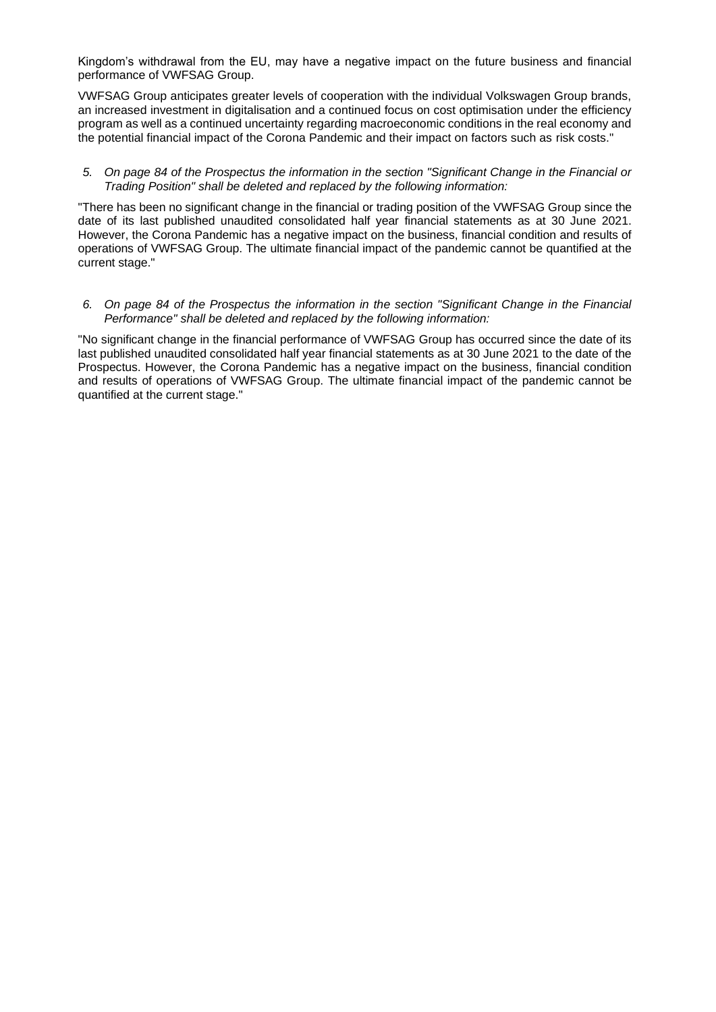Kingdom's withdrawal from the EU, may have a negative impact on the future business and financial performance of VWFSAG Group.

VWFSAG Group anticipates greater levels of cooperation with the individual Volkswagen Group brands, an increased investment in digitalisation and a continued focus on cost optimisation under the efficiency program as well as a continued uncertainty regarding macroeconomic conditions in the real economy and the potential financial impact of the Corona Pandemic and their impact on factors such as risk costs."

## *5. On page 84 of the Prospectus the information in the section "Significant Change in the Financial or Trading Position" shall be deleted and replaced by the following information:*

"There has been no significant change in the financial or trading position of the VWFSAG Group since the date of its last published unaudited consolidated half year financial statements as at 30 June 2021. However, the Corona Pandemic has a negative impact on the business, financial condition and results of operations of VWFSAG Group. The ultimate financial impact of the pandemic cannot be quantified at the current stage."

## *6. On page 84 of the Prospectus the information in the section "Significant Change in the Financial Performance" shall be deleted and replaced by the following information:*

"No significant change in the financial performance of VWFSAG Group has occurred since the date of its last published unaudited consolidated half year financial statements as at 30 June 2021 to the date of the Prospectus. However, the Corona Pandemic has a negative impact on the business, financial condition and results of operations of VWFSAG Group. The ultimate financial impact of the pandemic cannot be quantified at the current stage."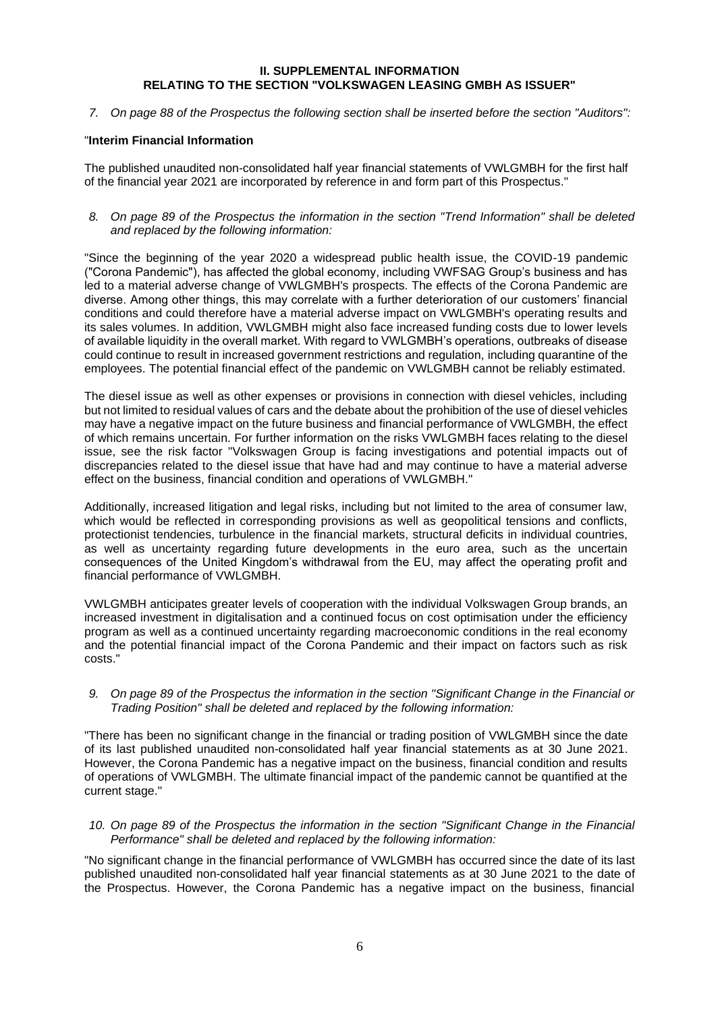## **II. SUPPLEMENTAL INFORMATION RELATING TO THE SECTION "VOLKSWAGEN LEASING GMBH AS ISSUER"**

<span id="page-5-0"></span>*7. On page 88 of the Prospectus the following section shall be inserted before the section "Auditors":*

## "**Interim Financial Information**

The published unaudited non-consolidated half year financial statements of VWLGMBH for the first half of the financial year 2021 are incorporated by reference in and form part of this Prospectus."

*8. On page 89 of the Prospectus the information in the section "Trend Information" shall be deleted and replaced by the following information:*

"Since the beginning of the year 2020 a widespread public health issue, the COVID-19 pandemic ("Corona Pandemic"), has affected the global economy, including VWFSAG Group's business and has led to a material adverse change of VWLGMBH's prospects. The effects of the Corona Pandemic are diverse. Among other things, this may correlate with a further deterioration of our customers' financial conditions and could therefore have a material adverse impact on VWLGMBH's operating results and its sales volumes. In addition, VWLGMBH might also face increased funding costs due to lower levels of available liquidity in the overall market. With regard to VWLGMBH's operations, outbreaks of disease could continue to result in increased government restrictions and regulation, including quarantine of the employees. The potential financial effect of the pandemic on VWLGMBH cannot be reliably estimated.

The diesel issue as well as other expenses or provisions in connection with diesel vehicles, including but not limited to residual values of cars and the debate about the prohibition of the use of diesel vehicles may have a negative impact on the future business and financial performance of VWLGMBH, the effect of which remains uncertain. For further information on the risks VWLGMBH faces relating to the diesel issue, see the risk factor "Volkswagen Group is facing investigations and potential impacts out of discrepancies related to the diesel issue that have had and may continue to have a material adverse effect on the business, financial condition and operations of VWLGMBH."

Additionally, increased litigation and legal risks, including but not limited to the area of consumer law, which would be reflected in corresponding provisions as well as geopolitical tensions and conflicts, protectionist tendencies, turbulence in the financial markets, structural deficits in individual countries, as well as uncertainty regarding future developments in the euro area, such as the uncertain consequences of the United Kingdom's withdrawal from the EU, may affect the operating profit and financial performance of VWLGMBH.

VWLGMBH anticipates greater levels of cooperation with the individual Volkswagen Group brands, an increased investment in digitalisation and a continued focus on cost optimisation under the efficiency program as well as a continued uncertainty regarding macroeconomic conditions in the real economy and the potential financial impact of the Corona Pandemic and their impact on factors such as risk costs."

*9. On page 89 of the Prospectus the information in the section "Significant Change in the Financial or Trading Position" shall be deleted and replaced by the following information:*

"There has been no significant change in the financial or trading position of VWLGMBH since the date of its last published unaudited non-consolidated half year financial statements as at 30 June 2021. However, the Corona Pandemic has a negative impact on the business, financial condition and results of operations of VWLGMBH. The ultimate financial impact of the pandemic cannot be quantified at the current stage."

*10. On page 89 of the Prospectus the information in the section "Significant Change in the Financial Performance" shall be deleted and replaced by the following information:*

"No significant change in the financial performance of VWLGMBH has occurred since the date of its last published unaudited non-consolidated half year financial statements as at 30 June 2021 to the date of the Prospectus. However, the Corona Pandemic has a negative impact on the business, financial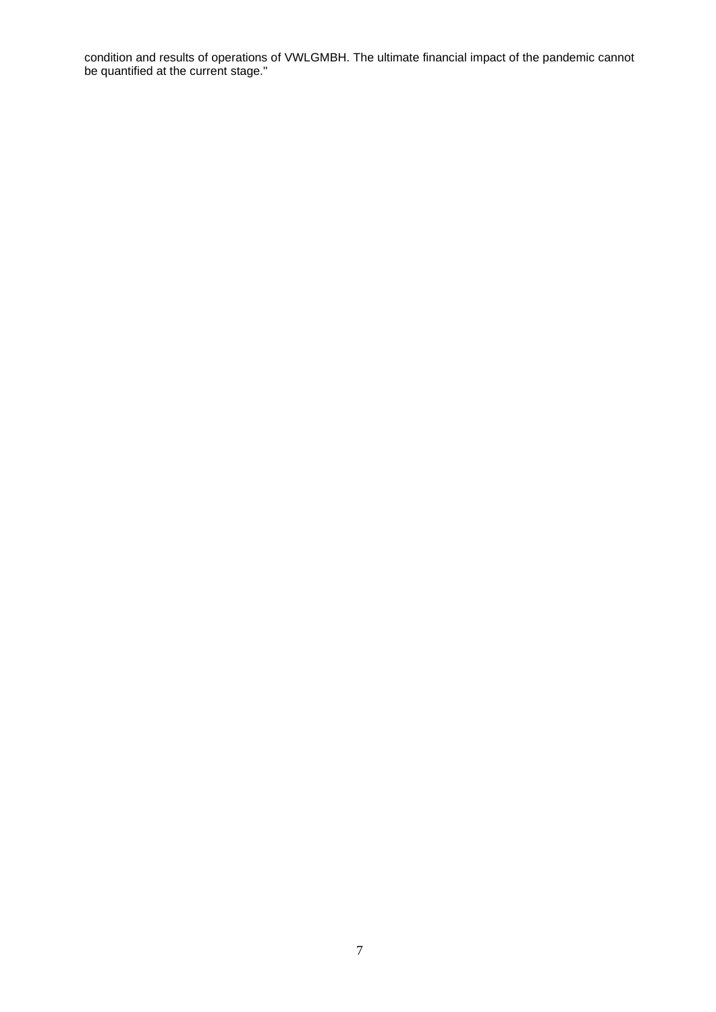condition and results of operations of VWLGMBH. The ultimate financial impact of the pandemic cannot be quantified at the current stage."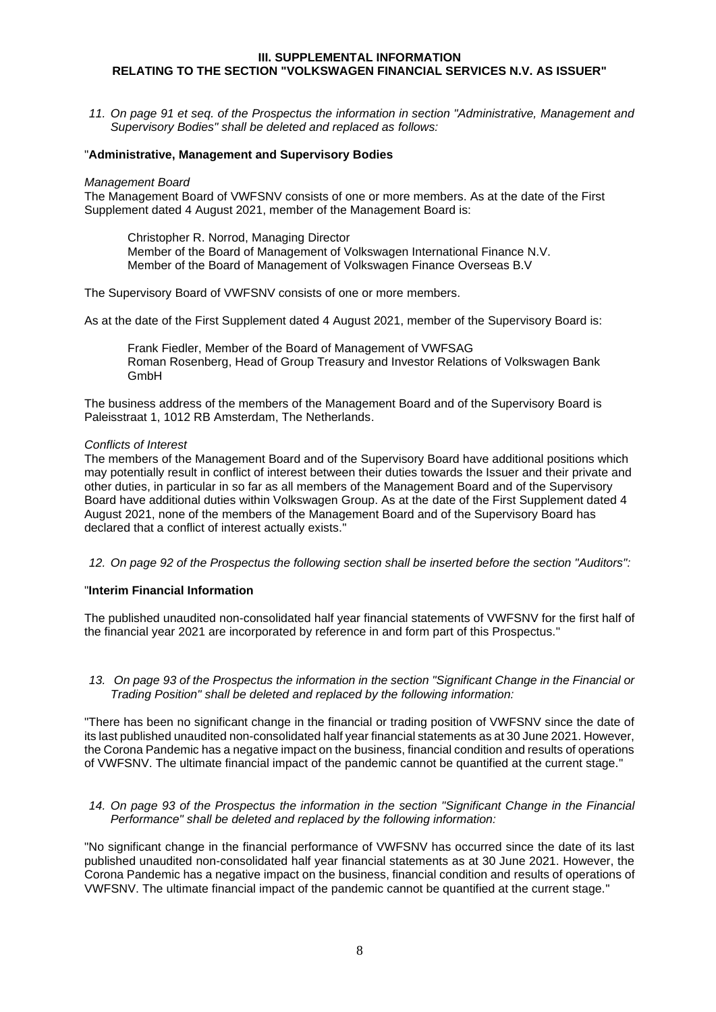## <span id="page-7-0"></span>**III. SUPPLEMENTAL INFORMATION RELATING TO THE SECTION "VOLKSWAGEN FINANCIAL SERVICES N.V. AS ISSUER"**

*11. On page 91 et seq. of the Prospectus the information in section "Administrative, Management and Supervisory Bodies" shall be deleted and replaced as follows:*

## "**Administrative, Management and Supervisory Bodies**

#### *Management Board*

The Management Board of VWFSNV consists of one or more members. As at the date of the First Supplement dated 4 August 2021, member of the Management Board is:

Christopher R. Norrod, Managing Director Member of the Board of Management of Volkswagen International Finance N.V. Member of the Board of Management of Volkswagen Finance Overseas B.V

The Supervisory Board of VWFSNV consists of one or more members.

As at the date of the First Supplement dated 4 August 2021, member of the Supervisory Board is:

Frank Fiedler, Member of the Board of Management of VWFSAG Roman Rosenberg, Head of Group Treasury and Investor Relations of Volkswagen Bank GmbH

The business address of the members of the Management Board and of the Supervisory Board is Paleisstraat 1, 1012 RB Amsterdam, The Netherlands.

#### *Conflicts of Interest*

The members of the Management Board and of the Supervisory Board have additional positions which may potentially result in conflict of interest between their duties towards the Issuer and their private and other duties, in particular in so far as all members of the Management Board and of the Supervisory Board have additional duties within Volkswagen Group. As at the date of the First Supplement dated 4 August 2021, none of the members of the Management Board and of the Supervisory Board has declared that a conflict of interest actually exists."

*12. On page 92 of the Prospectus the following section shall be inserted before the section "Auditors":*

## "**Interim Financial Information**

The published unaudited non-consolidated half year financial statements of VWFSNV for the first half of the financial year 2021 are incorporated by reference in and form part of this Prospectus."

*13. On page 93 of the Prospectus the information in the section "Significant Change in the Financial or Trading Position" shall be deleted and replaced by the following information:*

"There has been no significant change in the financial or trading position of VWFSNV since the date of its last published unaudited non-consolidated half year financial statements as at 30 June 2021. However, the Corona Pandemic has a negative impact on the business, financial condition and results of operations of VWFSNV. The ultimate financial impact of the pandemic cannot be quantified at the current stage."

*14. On page 93 of the Prospectus the information in the section "Significant Change in the Financial Performance" shall be deleted and replaced by the following information:*

"No significant change in the financial performance of VWFSNV has occurred since the date of its last published unaudited non-consolidated half year financial statements as at 30 June 2021. However, the Corona Pandemic has a negative impact on the business, financial condition and results of operations of VWFSNV. The ultimate financial impact of the pandemic cannot be quantified at the current stage."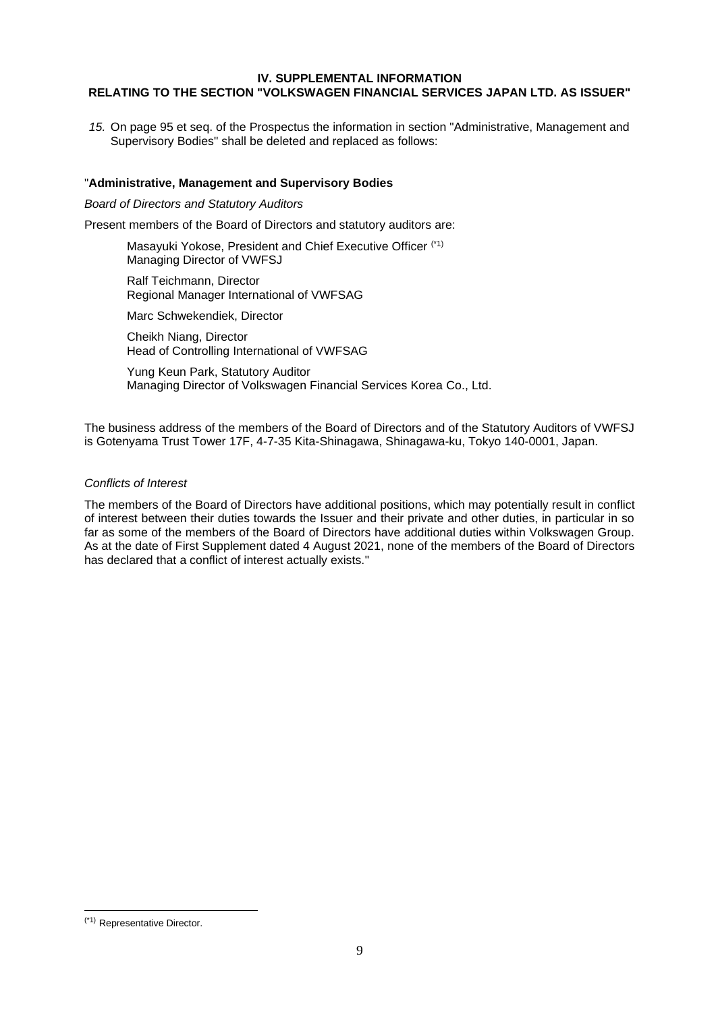## <span id="page-8-0"></span>**IV. SUPPLEMENTAL INFORMATION RELATING TO THE SECTION "VOLKSWAGEN FINANCIAL SERVICES JAPAN LTD. AS ISSUER"**

*15.* On page 95 et seq. of the Prospectus the information in section "Administrative, Management and Supervisory Bodies" shall be deleted and replaced as follows:

## "**Administrative, Management and Supervisory Bodies**

*Board of Directors and Statutory Auditors*

Present members of the Board of Directors and statutory auditors are:

Masayuki Yokose, President and Chief Executive Officer (\*1) Managing Director of VWFSJ

Ralf Teichmann, Director Regional Manager International of VWFSAG

Marc Schwekendiek, Director

Cheikh Niang, Director Head of Controlling International of VWFSAG

Yung Keun Park, Statutory Auditor Managing Director of Volkswagen Financial Services Korea Co., Ltd.

The business address of the members of the Board of Directors and of the Statutory Auditors of VWFSJ is Gotenyama Trust Tower 17F, 4-7-35 Kita-Shinagawa, Shinagawa-ku, Tokyo 140-0001, Japan.

## *Conflicts of Interest*

The members of the Board of Directors have additional positions, which may potentially result in conflict of interest between their duties towards the Issuer and their private and other duties, in particular in so far as some of the members of the Board of Directors have additional duties within Volkswagen Group. As at the date of First Supplement dated 4 August 2021, none of the members of the Board of Directors has declared that a conflict of interest actually exists."

<sup>(\*1)</sup> Representative Director.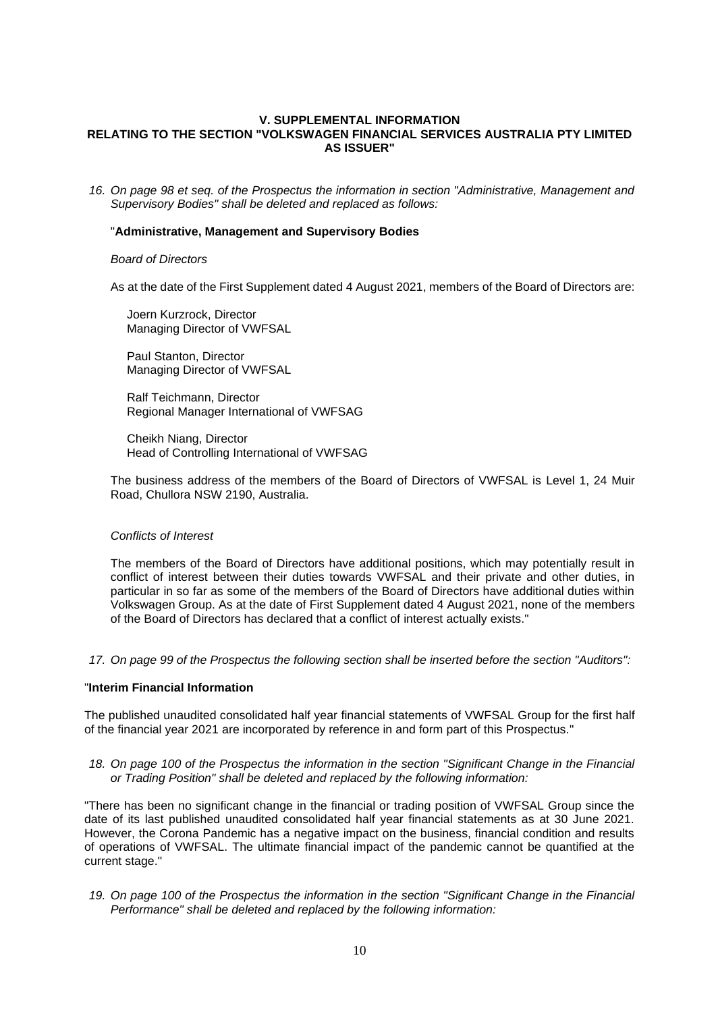## <span id="page-9-0"></span>**V. SUPPLEMENTAL INFORMATION RELATING TO THE SECTION "VOLKSWAGEN FINANCIAL SERVICES AUSTRALIA PTY LIMITED AS ISSUER"**

*16. On page 98 et seq. of the Prospectus the information in section "Administrative, Management and Supervisory Bodies" shall be deleted and replaced as follows:*

## "**Administrative, Management and Supervisory Bodies**

#### *Board of Directors*

As at the date of the First Supplement dated 4 August 2021, members of the Board of Directors are:

Joern Kurzrock, Director Managing Director of VWFSAL

Paul Stanton, Director Managing Director of VWFSAL

Ralf Teichmann, Director Regional Manager International of VWFSAG

Cheikh Niang, Director Head of Controlling International of VWFSAG

The business address of the members of the Board of Directors of VWFSAL is Level 1, 24 Muir Road, Chullora NSW 2190, Australia.

## *Conflicts of Interest*

The members of the Board of Directors have additional positions, which may potentially result in conflict of interest between their duties towards VWFSAL and their private and other duties, in particular in so far as some of the members of the Board of Directors have additional duties within Volkswagen Group. As at the date of First Supplement dated 4 August 2021, none of the members of the Board of Directors has declared that a conflict of interest actually exists."

*17. On page 99 of the Prospectus the following section shall be inserted before the section "Auditors":*

#### "**Interim Financial Information**

The published unaudited consolidated half year financial statements of VWFSAL Group for the first half of the financial year 2021 are incorporated by reference in and form part of this Prospectus."

*18. On page 100 of the Prospectus the information in the section "Significant Change in the Financial or Trading Position" shall be deleted and replaced by the following information:*

"There has been no significant change in the financial or trading position of VWFSAL Group since the date of its last published unaudited consolidated half year financial statements as at 30 June 2021. However, the Corona Pandemic has a negative impact on the business, financial condition and results of operations of VWFSAL. The ultimate financial impact of the pandemic cannot be quantified at the current stage."

*19. On page 100 of the Prospectus the information in the section "Significant Change in the Financial Performance" shall be deleted and replaced by the following information:*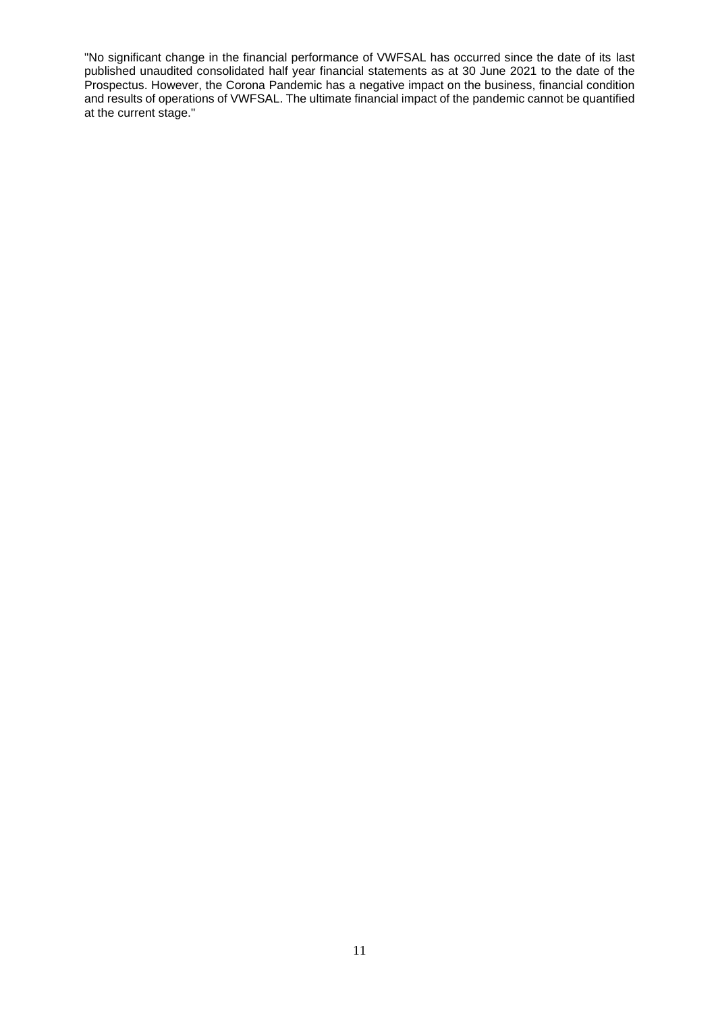"No significant change in the financial performance of VWFSAL has occurred since the date of its last published unaudited consolidated half year financial statements as at 30 June 2021 to the date of the Prospectus. However, the Corona Pandemic has a negative impact on the business, financial condition and results of operations of VWFSAL. The ultimate financial impact of the pandemic cannot be quantified at the current stage."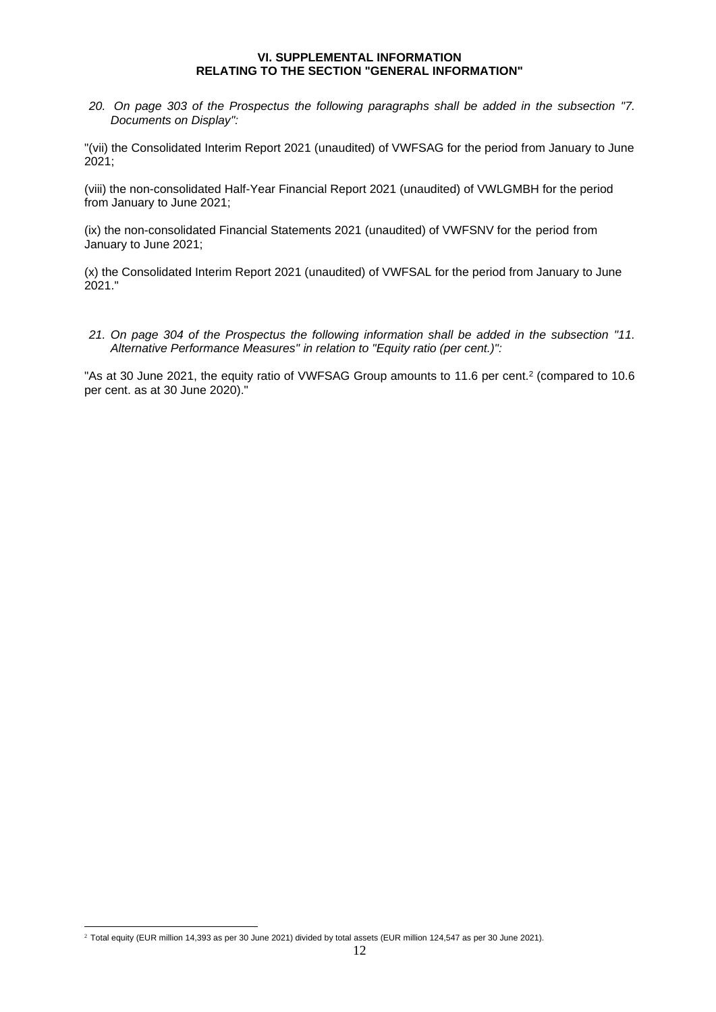## **VI. SUPPLEMENTAL INFORMATION RELATING TO THE SECTION "GENERAL INFORMATION"**

<span id="page-11-0"></span>*20. On page 303 of the Prospectus the following paragraphs shall be added in the subsection "7. Documents on Display":*

"(vii) the Consolidated Interim Report 2021 (unaudited) of VWFSAG for the period from January to June 2021;

(viii) the non-consolidated Half-Year Financial Report 2021 (unaudited) of VWLGMBH for the period from January to June 2021;

(ix) the non-consolidated Financial Statements 2021 (unaudited) of VWFSNV for the period from January to June 2021;

(x) the Consolidated Interim Report 2021 (unaudited) of VWFSAL for the period from January to June 2021."

*21. On page 304 of the Prospectus the following information shall be added in the subsection "11. Alternative Performance Measures" in relation to "Equity ratio (per cent.)":*

"As at 30 June 2021, the equity ratio of VWFSAG Group amounts to 11.6 per cent.<sup>2</sup> (compared to 10.6) per cent. as at 30 June 2020)."

<sup>2</sup> Total equity (EUR million 14,393 as per 30 June 2021) divided by total assets (EUR million 124,547 as per 30 June 2021).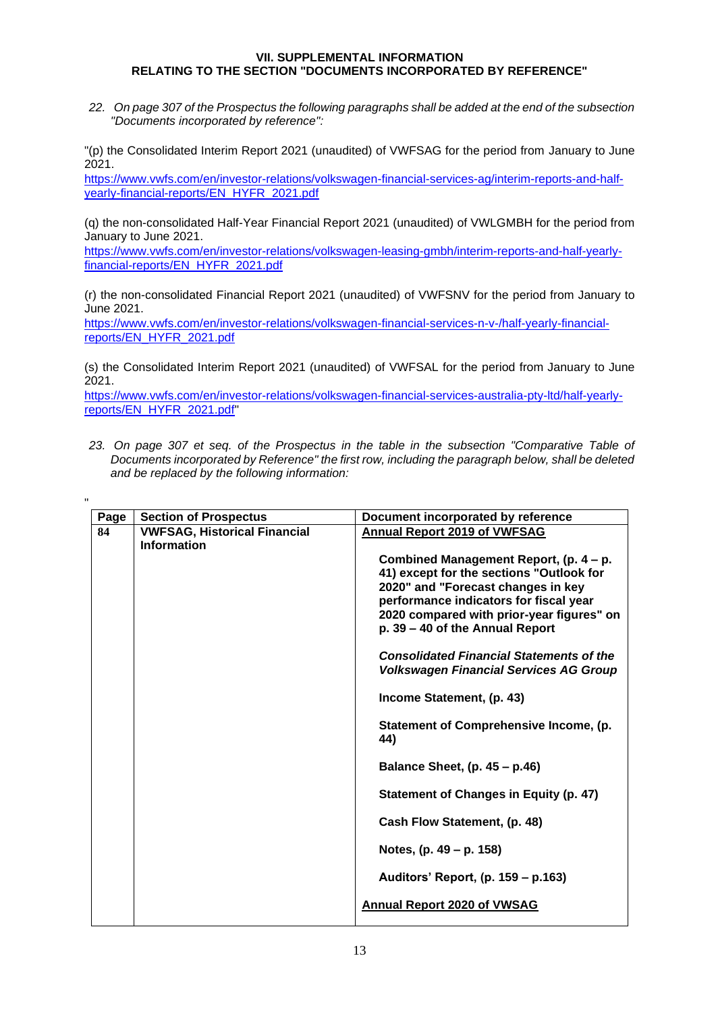# <span id="page-12-0"></span>**VII. SUPPLEMENTAL INFORMATION RELATING TO THE SECTION "DOCUMENTS INCORPORATED BY REFERENCE"**

*22. On page 307 of the Prospectus the following paragraphs shall be added at the end of the subsection "Documents incorporated by reference":*

"(p) the Consolidated Interim Report 2021 (unaudited) of VWFSAG for the period from January to June 2021.

[https://www.vwfs.com/en/investor-relations/volkswagen-financial-services-ag/interim-reports-and-half](https://www.vwfs.com/en/investor-relations/volkswagen-financial-services-ag/interim-reports-and-half-yearly-financial-reports/_jcr_content/content/section/section_parsys/downloadlist/downloadlist_parsys/downloaditem_copy_22_1114784428/downloadbutton.download.pdf/EN_HJFB%25202021%2520VW%2520FS%2520AG_s.pdf)[yearly-financial-reports/EN\\_HYFR\\_2021.pdf](https://www.vwfs.com/en/investor-relations/volkswagen-financial-services-ag/interim-reports-and-half-yearly-financial-reports/_jcr_content/content/section/section_parsys/downloadlist/downloadlist_parsys/downloaditem_copy_22_1114784428/downloadbutton.download.pdf/EN_HJFB%25202021%2520VW%2520FS%2520AG_s.pdf)

(q) the non-consolidated Half-Year Financial Report 2021 (unaudited) of VWLGMBH for the period from January to June 2021.

[https://www.vwfs.com/en/investor-relations/volkswagen-leasing-gmbh/interim-reports-and-half-yearly](https://www.vwfs.com/en/investor-relations/volkswagen-leasing-gmbh/interim-reports-and-half-yearly-financial-reports/_jcr_content/content/section/section_parsys/downloadlist/downloadlist_parsys/downloaditem_copy_co_778728961/downloadbutton.download.pdf/EN_HJFB%25202021%2520VW%2520Leasing%2520GmbH_s.pdf)[financial-reports/EN\\_HYFR\\_2021.pdf](https://www.vwfs.com/en/investor-relations/volkswagen-leasing-gmbh/interim-reports-and-half-yearly-financial-reports/_jcr_content/content/section/section_parsys/downloadlist/downloadlist_parsys/downloaditem_copy_co_778728961/downloadbutton.download.pdf/EN_HJFB%25202021%2520VW%2520Leasing%2520GmbH_s.pdf)

(r) the non-consolidated Financial Report 2021 (unaudited) of VWFSNV for the period from January to June 2021.

[https://www.vwfs.com/en/investor-relations/volkswagen-financial-services-n-v-/half-yearly-financial](https://www.vwfs.com/en/investor-relations/volkswagen-financial-services-n-v-/half-yearly-financial-reports/_jcr_content/content/section/section_parsys/downloadlist/downloadlist_parsys/downloaditem_copy_co_1615244003/downloadbutton.download.pdf/2021%2520FSNV%2520Interim%2520Financial%2520Report%2520(public).pdf)[reports/EN\\_HYFR\\_2021.pdf](https://www.vwfs.com/en/investor-relations/volkswagen-financial-services-n-v-/half-yearly-financial-reports/_jcr_content/content/section/section_parsys/downloadlist/downloadlist_parsys/downloaditem_copy_co_1615244003/downloadbutton.download.pdf/2021%2520FSNV%2520Interim%2520Financial%2520Report%2520(public).pdf)

(s) the Consolidated Interim Report 2021 (unaudited) of VWFSAL for the period from January to June 2021.

[https://www.vwfs.com/en/investor-relations/volkswagen-financial-services-australia-pty-ltd/half-yearly](https://www.vwfs.com/en/investor-relations/volkswagen-financial-services-australia-pty-ltd--/annual-reports1/_jcr_content/content/section/section_parsys/downloadlist/downloadlist_parsys/downloaditem_copy/downloadbutton.download.pdf/2021%2520VWFSA%2520HY%2520financial%2520statements%2520(FINAL).pdf)[reports/EN\\_HYFR\\_2021.pdf"](https://www.vwfs.com/en/investor-relations/volkswagen-financial-services-australia-pty-ltd--/annual-reports1/_jcr_content/content/section/section_parsys/downloadlist/downloadlist_parsys/downloaditem_copy/downloadbutton.download.pdf/2021%2520VWFSA%2520HY%2520financial%2520statements%2520(FINAL).pdf)

*23. On page 307 et seq. of the Prospectus in the table in the subsection "Comparative Table of Documents incorporated by Reference" the first row, including the paragraph below, shall be deleted and be replaced by the following information:*

| Page                                                            | <b>Section of Prospectus</b> | Document incorporated by reference                                                                                                                                                                                                                 |                           |
|-----------------------------------------------------------------|------------------------------|----------------------------------------------------------------------------------------------------------------------------------------------------------------------------------------------------------------------------------------------------|---------------------------|
| <b>VWFSAG, Historical Financial</b><br>84<br><b>Information</b> |                              | Annual Report 2019 of VWFSAG                                                                                                                                                                                                                       |                           |
|                                                                 |                              | Combined Management Report, (p. 4 – p.<br>41) except for the sections "Outlook for<br>2020" and "Forecast changes in key<br>performance indicators for fiscal year<br>2020 compared with prior-year figures" on<br>p. 39 - 40 of the Annual Report |                           |
|                                                                 |                              | <b>Consolidated Financial Statements of the</b><br><b>Volkswagen Financial Services AG Group</b>                                                                                                                                                   |                           |
|                                                                 |                              |                                                                                                                                                                                                                                                    | Income Statement, (p. 43) |
|                                                                 |                              | Statement of Comprehensive Income, (p.<br>44)                                                                                                                                                                                                      |                           |
|                                                                 |                              | Balance Sheet, (p. 45 - p.46)                                                                                                                                                                                                                      |                           |
|                                                                 |                              | Statement of Changes in Equity (p. 47)                                                                                                                                                                                                             |                           |
|                                                                 |                              | Cash Flow Statement, (p. 48)                                                                                                                                                                                                                       |                           |
|                                                                 |                              | Notes, (p. 49 – p. 158)                                                                                                                                                                                                                            |                           |
|                                                                 |                              | Auditors' Report, (p. 159 – p.163)                                                                                                                                                                                                                 |                           |
|                                                                 |                              | <b>Annual Report 2020 of VWSAG</b>                                                                                                                                                                                                                 |                           |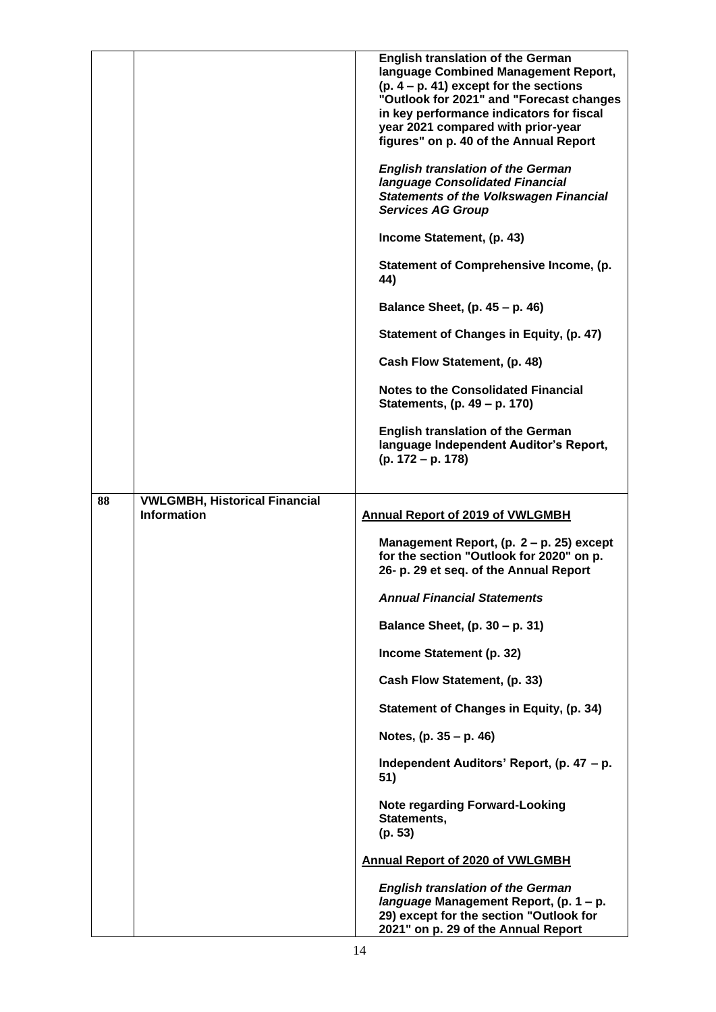|    |                                                            | <b>English translation of the German</b><br>language Combined Management Report,<br>$(p. 4 - p. 41)$ except for the sections<br>"Outlook for 2021" and "Forecast changes<br>in key performance indicators for fiscal<br>year 2021 compared with prior-year<br>figures" on p. 40 of the Annual Report |
|----|------------------------------------------------------------|------------------------------------------------------------------------------------------------------------------------------------------------------------------------------------------------------------------------------------------------------------------------------------------------------|
|    |                                                            | <b>English translation of the German</b><br>language Consolidated Financial<br><b>Statements of the Volkswagen Financial</b><br><b>Services AG Group</b>                                                                                                                                             |
|    |                                                            | Income Statement, (p. 43)                                                                                                                                                                                                                                                                            |
|    |                                                            | Statement of Comprehensive Income, (p.<br>44)                                                                                                                                                                                                                                                        |
|    |                                                            | Balance Sheet, (p. 45 – p. 46)                                                                                                                                                                                                                                                                       |
|    |                                                            | Statement of Changes in Equity, (p. 47)                                                                                                                                                                                                                                                              |
|    |                                                            | Cash Flow Statement, (p. 48)                                                                                                                                                                                                                                                                         |
|    |                                                            | <b>Notes to the Consolidated Financial</b><br>Statements, (p. 49 – p. 170)                                                                                                                                                                                                                           |
|    |                                                            | <b>English translation of the German</b><br>language Independent Auditor's Report,<br>(p. 172 – p. 178)                                                                                                                                                                                              |
|    |                                                            |                                                                                                                                                                                                                                                                                                      |
| 88 | <b>VWLGMBH, Historical Financial</b><br><b>Information</b> | <b>Annual Report of 2019 of VWLGMBH</b>                                                                                                                                                                                                                                                              |
|    |                                                            | Management Report, (p. 2 - p. 25) except<br>for the section "Outlook for 2020" on p.<br>26- p. 29 et seq. of the Annual Report                                                                                                                                                                       |
|    |                                                            | <b>Annual Financial Statements</b>                                                                                                                                                                                                                                                                   |
|    |                                                            | Balance Sheet, (p. 30 - p. 31)                                                                                                                                                                                                                                                                       |
|    |                                                            | Income Statement (p. 32)                                                                                                                                                                                                                                                                             |
|    |                                                            | Cash Flow Statement, (p. 33)                                                                                                                                                                                                                                                                         |
|    |                                                            | Statement of Changes in Equity, (p. 34)                                                                                                                                                                                                                                                              |
|    |                                                            | Notes, (p. 35 - p. 46)                                                                                                                                                                                                                                                                               |
|    |                                                            | Independent Auditors' Report, (p. 47 – p.<br>51)                                                                                                                                                                                                                                                     |
|    |                                                            | <b>Note regarding Forward-Looking</b>                                                                                                                                                                                                                                                                |
|    |                                                            | Statements,<br>(p. 53)                                                                                                                                                                                                                                                                               |
|    |                                                            | <b>Annual Report of 2020 of VWLGMBH</b>                                                                                                                                                                                                                                                              |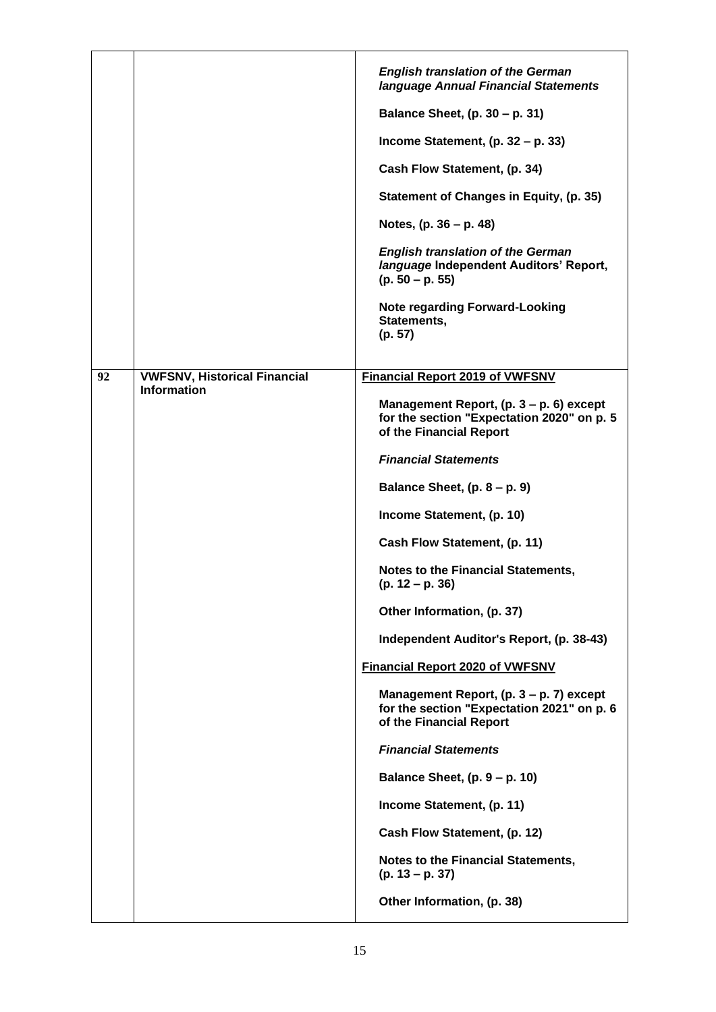|    |                                     | <b>English translation of the German</b><br>language Annual Financial Statements                                   |
|----|-------------------------------------|--------------------------------------------------------------------------------------------------------------------|
|    |                                     | Balance Sheet, (p. 30 - p. 31)                                                                                     |
|    |                                     | Income Statement, $(p. 32 - p. 33)$                                                                                |
|    |                                     | Cash Flow Statement, (p. 34)                                                                                       |
|    |                                     | Statement of Changes in Equity, (p. 35)                                                                            |
|    |                                     | Notes, (p. 36 – p. 48)                                                                                             |
|    |                                     | <b>English translation of the German</b><br>language Independent Auditors' Report,<br>$(p. 50 - p. 55)$            |
|    |                                     | <b>Note regarding Forward-Looking</b><br>Statements,<br>(p. 57)                                                    |
| 92 | <b>VWFSNV, Historical Financial</b> | <b>Financial Report 2019 of VWFSNV</b>                                                                             |
|    | <b>Information</b>                  | Management Report, $(p. 3 - p. 6)$ except<br>for the section "Expectation 2020" on p. 5<br>of the Financial Report |
|    |                                     | <b>Financial Statements</b>                                                                                        |
|    |                                     | Balance Sheet, $(p. 8 - p. 9)$                                                                                     |
|    |                                     | Income Statement, (p. 10)                                                                                          |
|    |                                     | Cash Flow Statement, (p. 11)                                                                                       |
|    |                                     | <b>Notes to the Financial Statements,</b><br>$(p. 12 - p. 36)$                                                     |
|    |                                     | Other Information, (p. 37)                                                                                         |
|    |                                     | Independent Auditor's Report, (p. 38-43)                                                                           |
|    |                                     | <b>Financial Report 2020 of VWFSNV</b>                                                                             |
|    |                                     | Management Report, (p. 3 – p. 7) except<br>for the section "Expectation 2021" on p. 6<br>of the Financial Report   |
|    |                                     | <b>Financial Statements</b>                                                                                        |
|    |                                     | Balance Sheet, $(p. 9 - p. 10)$                                                                                    |
|    |                                     | Income Statement, (p. 11)                                                                                          |
|    |                                     | Cash Flow Statement, (p. 12)                                                                                       |
|    |                                     | <b>Notes to the Financial Statements,</b><br>$(p. 13 - p. 37)$                                                     |
|    |                                     | Other Information, (p. 38)                                                                                         |
|    |                                     |                                                                                                                    |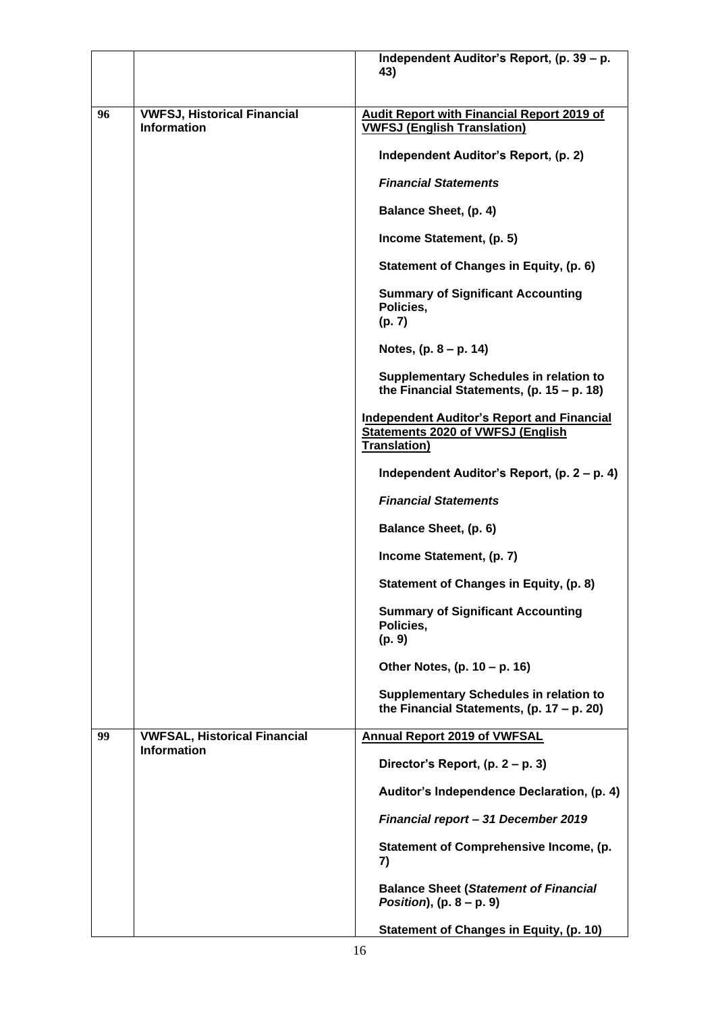|    |                                                           | Independent Auditor's Report, (p. 39 - p.<br>43)                                                                      |
|----|-----------------------------------------------------------|-----------------------------------------------------------------------------------------------------------------------|
| 96 | <b>VWFSJ, Historical Financial</b><br><b>Information</b>  | <b>Audit Report with Financial Report 2019 of</b><br><b>VWFSJ (English Translation)</b>                               |
|    |                                                           | Independent Auditor's Report, (p. 2)                                                                                  |
|    |                                                           | <b>Financial Statements</b>                                                                                           |
|    |                                                           | <b>Balance Sheet, (p. 4)</b>                                                                                          |
|    |                                                           | Income Statement, (p. 5)                                                                                              |
|    |                                                           | Statement of Changes in Equity, (p. 6)                                                                                |
|    |                                                           | <b>Summary of Significant Accounting</b>                                                                              |
|    |                                                           | Policies,<br>(p. 7)                                                                                                   |
|    |                                                           | Notes, $(p. 8 - p. 14)$                                                                                               |
|    |                                                           | <b>Supplementary Schedules in relation to</b><br>the Financial Statements, $(p. 15 - p. 18)$                          |
|    |                                                           | <b>Independent Auditor's Report and Financial</b><br><b>Statements 2020 of VWFSJ (English</b><br><b>Translation</b> ) |
|    |                                                           | Independent Auditor's Report, (p. 2 – p. 4)                                                                           |
|    |                                                           | <b>Financial Statements</b>                                                                                           |
|    |                                                           | Balance Sheet, (p. 6)                                                                                                 |
|    |                                                           | Income Statement, (p. 7)                                                                                              |
|    |                                                           | <b>Statement of Changes in Equity, (p. 8)</b>                                                                         |
|    |                                                           | <b>Summary of Significant Accounting</b><br>Policies,<br>(p. 9)                                                       |
|    |                                                           | Other Notes, (p. 10 - p. 16)                                                                                          |
|    |                                                           | <b>Supplementary Schedules in relation to</b><br>the Financial Statements, $(p. 17 - p. 20)$                          |
| 99 | <b>VWFSAL, Historical Financial</b><br><b>Information</b> | <b>Annual Report 2019 of VWFSAL</b>                                                                                   |
|    |                                                           | Director's Report, (p. 2 – p. 3)                                                                                      |
|    |                                                           | Auditor's Independence Declaration, (p. 4)                                                                            |
|    |                                                           | Financial report - 31 December 2019                                                                                   |
|    |                                                           | Statement of Comprehensive Income, (p.<br>7)                                                                          |
|    |                                                           | <b>Balance Sheet (Statement of Financial</b><br>Position), $(p. 8 - p. 9)$                                            |
|    |                                                           | Statement of Changes in Equity, (p. 10)                                                                               |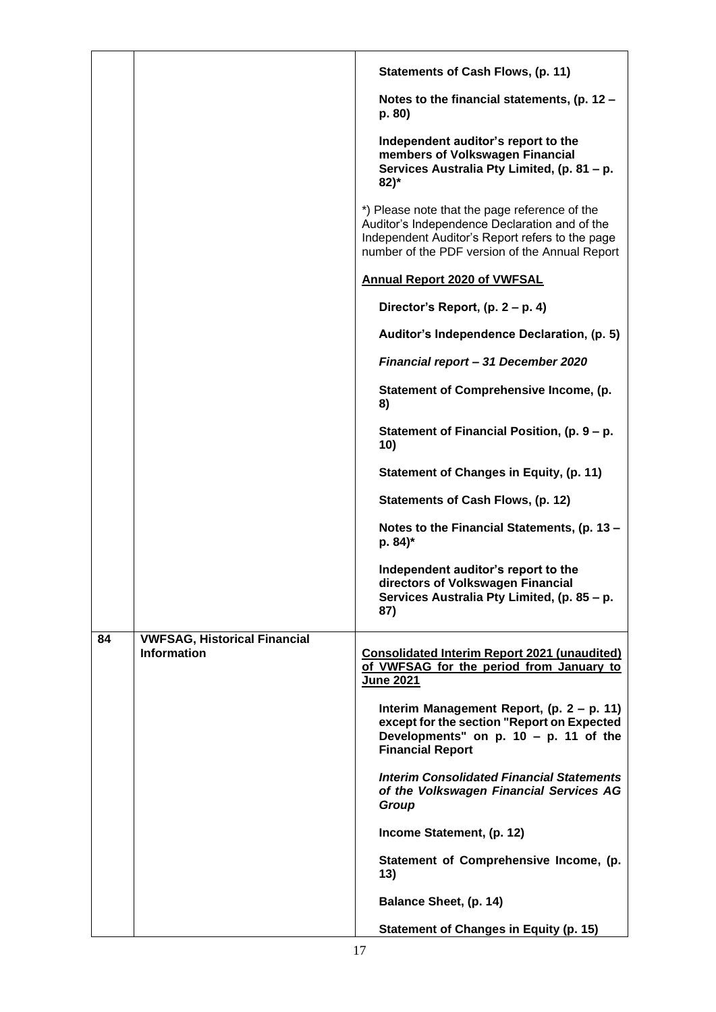|    |                                     | Statements of Cash Flows, (p. 11)                                                                                                                                                                   |
|----|-------------------------------------|-----------------------------------------------------------------------------------------------------------------------------------------------------------------------------------------------------|
|    |                                     | Notes to the financial statements, (p. 12 -<br>p. 80)                                                                                                                                               |
|    |                                     | Independent auditor's report to the<br>members of Volkswagen Financial<br>Services Australia Pty Limited, (p. 81 - p.<br>$82)$ *                                                                    |
|    |                                     | *) Please note that the page reference of the<br>Auditor's Independence Declaration and of the<br>Independent Auditor's Report refers to the page<br>number of the PDF version of the Annual Report |
|    |                                     | <b>Annual Report 2020 of VWFSAL</b>                                                                                                                                                                 |
|    |                                     | Director's Report, (p. 2 – p. 4)                                                                                                                                                                    |
|    |                                     | Auditor's Independence Declaration, (p. 5)                                                                                                                                                          |
|    |                                     | Financial report - 31 December 2020                                                                                                                                                                 |
|    |                                     | Statement of Comprehensive Income, (p.<br>8)                                                                                                                                                        |
|    |                                     | Statement of Financial Position, (p. 9 – p.<br>10)                                                                                                                                                  |
|    |                                     | Statement of Changes in Equity, (p. 11)                                                                                                                                                             |
|    |                                     | Statements of Cash Flows, (p. 12)                                                                                                                                                                   |
|    |                                     | Notes to the Financial Statements, (p. 13 -<br>p. 84)*                                                                                                                                              |
|    |                                     | Independent auditor's report to the<br>directors of Volkswagen Financial<br>Services Australia Pty Limited, (p. 85 - p.<br>87)                                                                      |
| 84 | <b>VWFSAG, Historical Financial</b> |                                                                                                                                                                                                     |
|    | <b>Information</b>                  | <b>Consolidated Interim Report 2021 (unaudited)</b><br>of VWFSAG for the period from January to<br><b>June 2021</b>                                                                                 |
|    |                                     | Interim Management Report, (p. 2 – p. 11)<br>except for the section "Report on Expected<br>Developments" on $p. 10 - p. 11$ of the<br><b>Financial Report</b>                                       |
|    |                                     | <b>Interim Consolidated Financial Statements</b><br>of the Volkswagen Financial Services AG<br>Group                                                                                                |
|    |                                     | Income Statement, (p. 12)                                                                                                                                                                           |
|    |                                     | Statement of Comprehensive Income, (p.<br>13)                                                                                                                                                       |
|    |                                     | Balance Sheet, (p. 14)                                                                                                                                                                              |
|    |                                     | <b>Statement of Changes in Equity (p. 15)</b>                                                                                                                                                       |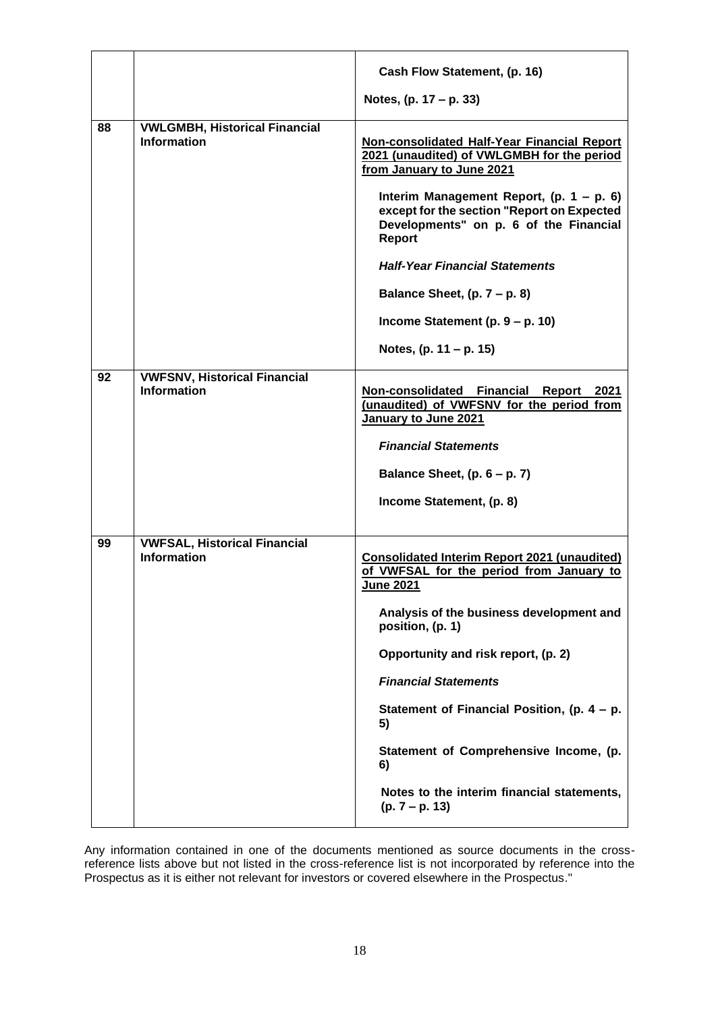|    |                                                            | Cash Flow Statement, (p. 16)                                                                                                                 |
|----|------------------------------------------------------------|----------------------------------------------------------------------------------------------------------------------------------------------|
|    |                                                            | Notes, (p. 17 – p. 33)                                                                                                                       |
| 88 | <b>VWLGMBH, Historical Financial</b><br><b>Information</b> | Non-consolidated Half-Year Financial Report<br>2021 (unaudited) of VWLGMBH for the period<br>from January to June 2021                       |
|    |                                                            | Interim Management Report, $(p. 1 - p. 6)$<br>except for the section "Report on Expected<br>Developments" on p. 6 of the Financial<br>Report |
|    |                                                            | <b>Half-Year Financial Statements</b>                                                                                                        |
|    |                                                            | Balance Sheet, $(p. 7 - p. 8)$                                                                                                               |
|    |                                                            | Income Statement (p. $9 - p$ . 10)                                                                                                           |
|    |                                                            | Notes, $(p. 11 - p. 15)$                                                                                                                     |
| 92 | <b>VWFSNV, Historical Financial</b><br><b>Information</b>  | Non-consolidated Financial Report 2021<br>(unaudited) of VWFSNV for the period from<br>January to June 2021<br><b>Financial Statements</b>   |
|    |                                                            | Balance Sheet, $(p. 6 - p. 7)$                                                                                                               |
|    |                                                            | Income Statement, (p. 8)                                                                                                                     |
| 99 | <b>VWFSAL, Historical Financial</b><br><b>Information</b>  | <b>Consolidated Interim Report 2021 (unaudited)</b><br>of VWFSAL for the period from January to<br>June 2021                                 |
|    |                                                            | Analysis of the business development and<br>position, (p. 1)                                                                                 |
|    |                                                            | Opportunity and risk report, (p. 2)                                                                                                          |
|    |                                                            | <b>Financial Statements</b>                                                                                                                  |
|    |                                                            | Statement of Financial Position, (p. $4 - p$ .<br>5)                                                                                         |
|    |                                                            | Statement of Comprehensive Income, (p.<br>6)                                                                                                 |
|    |                                                            | Notes to the interim financial statements,<br>$(p. 7 - p. 13)$                                                                               |

Any information contained in one of the documents mentioned as source documents in the crossreference lists above but not listed in the cross-reference list is not incorporated by reference into the Prospectus as it is either not relevant for investors or covered elsewhere in the Prospectus."